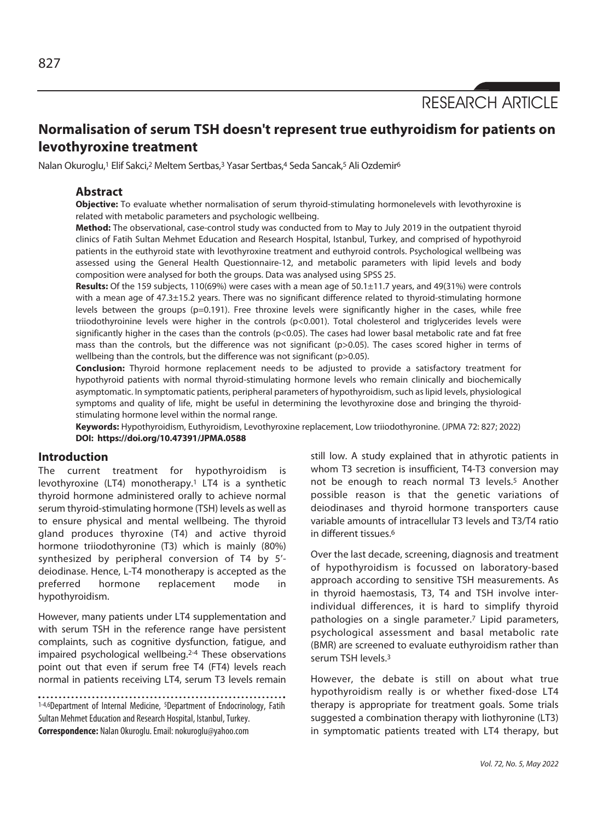RESEARCH ARTICLE

# **Normalisation of serum TSH doesn't represent true euthyroidism for patients on levothyroxine treatment**

Nalan Okuroglu,<sup>1</sup> Elif Sakci,<sup>2</sup> Meltem Sertbas,<sup>3</sup> Yasar Sertbas,<sup>4</sup> Seda Sancak,<sup>5</sup> Ali Ozdemir<sup>6</sup>

# **Abstract**

**Objective:** To evaluate whether normalisation of serum thyroid-stimulating hormonelevels with levothyroxine is related with metabolic parameters and psychologic wellbeing.

**Method:** The observational, case-control study was conducted from to May to July 2019 in the outpatient thyroid clinics of Fatih Sultan Mehmet Education and Research Hospital, Istanbul, Turkey, and comprised of hypothyroid patients in the euthyroid state with levothyroxine treatment and euthyroid controls. Psychological wellbeing was assessed using the General Health Questionnaire-12, and metabolic parameters with lipid levels and body composition were analysed for both the groups. Data was analysed using SPSS 25.

**Results:** Of the 159 subjects, 110(69%) were cases with a mean age of 50.1±11.7 years, and 49(31%) were controls with a mean age of 47.3±15.2 years. There was no significant difference related to thyroid-stimulating hormone levels between the groups (p=0.191). Free throxine levels were significantly higher in the cases, while free triiodothyroinine levels were higher in the controls (p<0.001). Total cholesterol and triglycerides levels were significantly higher in the cases than the controls (p<0.05). The cases had lower basal metabolic rate and fat free mass than the controls, but the difference was not significant (p>0.05). The cases scored higher in terms of wellbeing than the controls, but the difference was not significant (p>0.05).

**Conclusion:** Thyroid hormone replacement needs to be adjusted to provide a satisfactory treatment for hypothyroid patients with normal thyroid-stimulating hormone levels who remain clinically and biochemically asymptomatic. In symptomatic patients, peripheral parameters of hypothyroidism, such as lipid levels, physiological symptoms and quality of life, might be useful in determining the levothyroxine dose and bringing the thyroidstimulating hormone level within the normal range.

**Keywords:** Hypothyroidism, Euthyroidism, Levothyroxine replacement, Low triiodothyronine. (JPMA 72: 827; 2022) **DOI: https://doi.org/10.47391/JPMA.0588** 

## **Introduction**

The current treatment for hypothyroidism is levothyroxine (LT4) monotherapy.1 LT4 is a synthetic thyroid hormone administered orally to achieve normal serum thyroid-stimulating hormone (TSH) levels as well as to ensure physical and mental wellbeing. The thyroid gland produces thyroxine (T4) and active thyroid hormone triiodothyronine (T3) which is mainly (80%) synthesized by peripheral conversion of T4 by 5' deiodinase. Hence, L-T4 monotherapy is accepted as the preferred hormone replacement mode in hypothyroidism.

However, many patients under LT4 supplementation and with serum TSH in the reference range have persistent complaints, such as cognitive dysfunction, fatigue, and impaired psychological wellbeing.2-4 These observations point out that even if serum free T4 (FT4) levels reach normal in patients receiving LT4, serum T3 levels remain

1-4,6Department of Internal Medicine, <sup>5</sup>Department of Endocrinology, Fatih Sultan Mehmet Education and Research Hospital, Istanbul, Turkey. **Correspondence:** Nalan Okuroglu. Email: nokuroglu@yahoo.com

still low. A study explained that in athyrotic patients in whom T3 secretion is insufficient, T4-T3 conversion may not be enough to reach normal T3 levels.<sup>5</sup> Another possible reason is that the genetic variations of deiodinases and thyroid hormone transporters cause variable amounts of intracellular T3 levels and T3/T4 ratio in different tissues.6

Over the last decade, screening, diagnosis and treatment of hypothyroidism is focussed on laboratory-based approach according to sensitive TSH measurements. As in thyroid haemostasis, T3, T4 and TSH involve interindividual differences, it is hard to simplify thyroid pathologies on a single parameter.7 Lipid parameters, psychological assessment and basal metabolic rate (BMR) are screened to evaluate euthyroidism rather than serum TSH levels.3

However, the debate is still on about what true hypothyroidism really is or whether fixed-dose LT4 therapy is appropriate for treatment goals. Some trials suggested a combination therapy with liothyronine (LT3) in symptomatic patients treated with LT4 therapy, but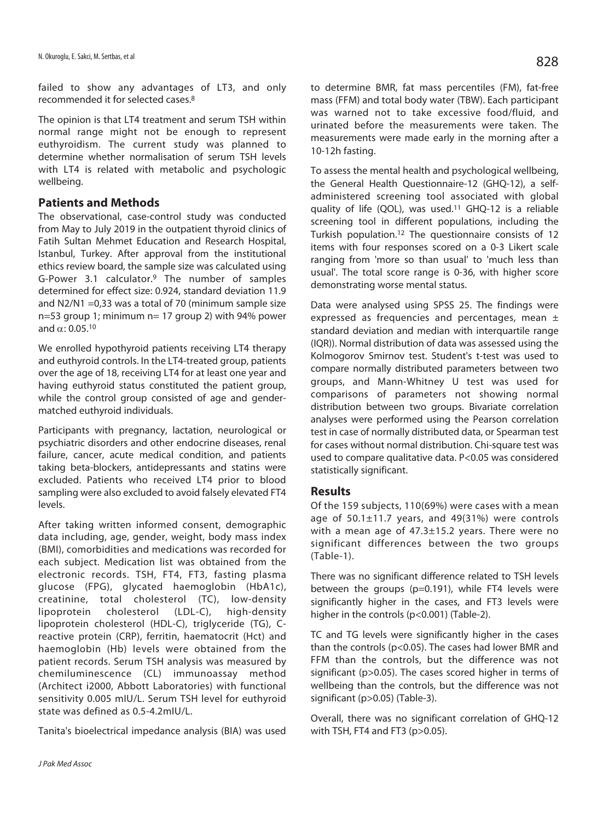failed to show any advantages of LT3, and only recommended it for selected cases.8

The opinion is that LT4 treatment and serum TSH within normal range might not be enough to represent euthyroidism. The current study was planned to determine whether normalisation of serum TSH levels with LT4 is related with metabolic and psychologic wellbeing.

### **Patients and Methods**

The observational, case-control study was conducted from May to July 2019 in the outpatient thyroid clinics of Fatih Sultan Mehmet Education and Research Hospital, Istanbul, Turkey. After approval from the institutional ethics review board, the sample size was calculated using G-Power 3.1 calculator.9 The number of samples determined for effect size: 0.924, standard deviation 11.9 and N2/N1 =0,33 was a total of 70 (minimum sample size n=53 group 1; minimum n= 17 group 2) with 94% power and  $\alpha$ : 0.05.<sup>10</sup>

We enrolled hypothyroid patients receiving LT4 therapy and euthyroid controls. In the LT4-treated group, patients over the age of 18, receiving LT4 for at least one year and having euthyroid status constituted the patient group, while the control group consisted of age and gendermatched euthyroid individuals.

Participants with pregnancy, lactation, neurological or psychiatric disorders and other endocrine diseases, renal failure, cancer, acute medical condition, and patients taking beta-blockers, antidepressants and statins were excluded. Patients who received LT4 prior to blood sampling were also excluded to avoid falsely elevated FT4 levels.

After taking written informed consent, demographic data including, age, gender, weight, body mass index (BMI), comorbidities and medications was recorded for each subject. Medication list was obtained from the electronic records. TSH, FT4, FT3, fasting plasma glucose (FPG), glycated haemoglobin (HbA1c), creatinine, total cholesterol (TC), low-density lipoprotein cholesterol (LDL-C), high-density lipoprotein cholesterol (HDL-C), triglyceride (TG), Creactive protein (CRP), ferritin, haematocrit (Hct) and haemoglobin (Hb) levels were obtained from the patient records. Serum TSH analysis was measured by chemiluminescence (CL) immunoassay method (Architect i2000, Abbott Laboratories) with functional sensitivity 0.005 mIU/L. Serum TSH level for euthyroid state was defined as 0.5-4.2mIU/L.

Tanita's bioelectrical impedance analysis (BIA) was used

to determine BMR, fat mass percentiles (FM), fat-free mass (FFM) and total body water (TBW). Each participant was warned not to take excessive food/fluid, and urinated before the measurements were taken. The measurements were made early in the morning after a 10-12h fasting.

To assess the mental health and psychological wellbeing, the General Health Questionnaire-12 (GHQ-12), a selfadministered screening tool associated with global quality of life (QOL), was used.11 GHQ-12 is a reliable screening tool in different populations, including the Turkish population.12 The questionnaire consists of 12 items with four responses scored on a 0-3 Likert scale ranging from 'more so than usual' to 'much less than usual'. The total score range is 0-36, with higher score demonstrating worse mental status.

Data were analysed using SPSS 25. The findings were expressed as frequencies and percentages, mean ± standard deviation and median with interquartile range (IQR)). Normal distribution of data was assessed using the Kolmogorov Smirnov test. Student's t-test was used to compare normally distributed parameters between two groups, and Mann-Whitney U test was used for comparisons of parameters not showing normal distribution between two groups. Bivariate correlation analyses were performed using the Pearson correlation test in case of normally distributed data, or Spearman test for cases without normal distribution. Chi-square test was used to compare qualitative data. P<0.05 was considered statistically significant.

#### **Results**

Of the 159 subjects, 110(69%) were cases with a mean age of 50.1±11.7 years, and 49(31%) were controls with a mean age of 47.3±15.2 years. There were no significant differences between the two groups (Table-1).

There was no significant difference related to TSH levels between the groups (p=0.191), while FT4 levels were significantly higher in the cases, and FT3 levels were higher in the controls (p<0.001) (Table-2).

TC and TG levels were significantly higher in the cases than the controls (p<0.05). The cases had lower BMR and FFM than the controls, but the difference was not significant (p>0.05). The cases scored higher in terms of wellbeing than the controls, but the difference was not significant (p>0.05) (Table-3).

Overall, there was no significant correlation of GHQ-12 with TSH, FT4 and FT3 (p>0.05).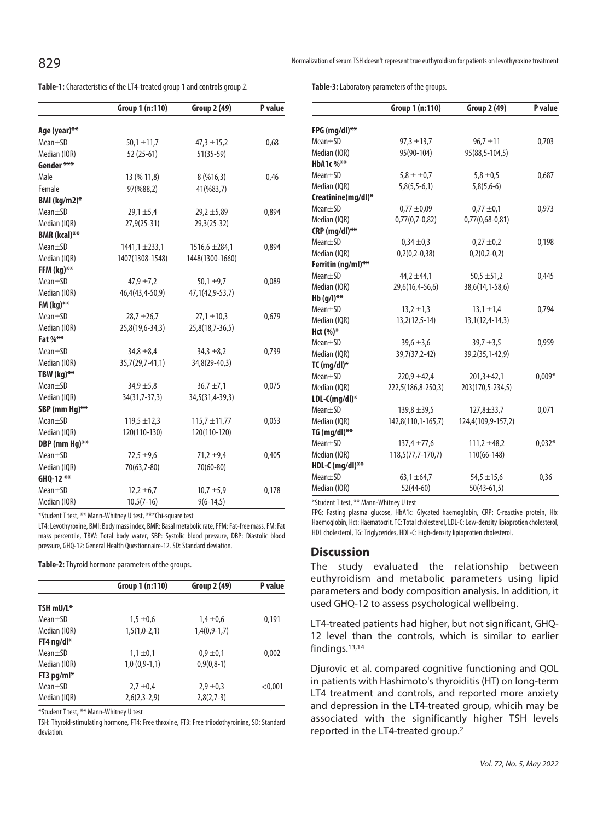**Table-1:** Characteristics of the LT4-treated group 1 and controls group 2.

|                      | Group 1 (n:110)    | Group 2 (49)       | P value |
|----------------------|--------------------|--------------------|---------|
| Age (year)**         |                    |                    |         |
| Mean±SD              | $50,1 \pm 11,7$    | $47,3 \pm 15,2$    | 0,68    |
| Median (IQR)         | 52 (25-61)         | $51(35-59)$        |         |
| Gender ***           |                    |                    |         |
| Male                 | 13 (% 11,8)        | 8(%16,3)           | 0,46    |
| Female               | 97(%88,2)          | 41(%83,7)          |         |
| BMI (kg/m2)*         |                    |                    |         |
| Mean <sub>±</sub> SD | $29,1 \pm 5,4$     | $29.2 \pm 5.89$    | 0,894   |
| Median (IQR)         | $27,9(25-31)$      | $29,3(25-32)$      |         |
| BMR (kcal)**         |                    |                    |         |
| Mean <sub>±</sub> SD | $1441,1 \pm 233,1$ | $1516,6 \pm 284,1$ | 0,894   |
| Median (IQR)         | 1407(1308-1548)    | 1448(1300-1660)    |         |
| FFM $(kg)$ **        |                    |                    |         |
| Mean <sub>±</sub> SD | $47,9 \pm 7,2$     | $50,1 \pm 9,7$     | 0,089   |
| Median (IQR)         | 46,4(43,4-50,9)    | 47,1(42,9-53,7)    |         |
| FM $(kg)$ **         |                    |                    |         |
| $Mean \pm SD$        | $28.7 \pm 26.7$    | $27,1 \pm 10,3$    | 0,679   |
| Median (IQR)         | $25,8(19,6-34,3)$  | $25,8(18,7-36,5)$  |         |
| Fat %**              |                    |                    |         |
| Mean±SD              | $34,8 \pm 8,4$     | $34,3 \pm 8,2$     | 0,739   |
| Median (IQR)         | $35,7(29,7-41,1)$  | 34,8(29-40,3)      |         |
| TBW (kg)**           |                    |                    |         |
| Mean <sub>±</sub> SD | $34.9 \pm 5.8$     | $36.7 \pm 7.1$     | 0,075   |
| Median (IQR)         | 34(31,7-37,3)      | 34,5(31,4-39,3)    |         |
| SBP (mm Hq)**        |                    |                    |         |
| Mean <sub>±</sub> SD | $119,5 \pm 12,3$   | $115,7 \pm 11,77$  | 0,053   |
| Median (IQR)         | 120(110-130)       | 120(110-120)       |         |
| DBP (mm Hg)**        |                    |                    |         |
| $Mean \pm SD$        | $72,5 \pm 9,6$     | $71,2 \pm 9,4$     | 0,405   |
| Median (IQR)         | 70(63,7-80)        | $70(60 - 80)$      |         |
| GHQ-12 **            |                    |                    |         |
| Mean±SD              | $12,2 \pm 6,7$     | $10,7 \pm 5,9$     | 0,178   |
| Median (IQR)         | $10,5(7-16)$       | $9(6-14,5)$        |         |

\*Student T test, \*\* Mann-Whitney U test, \*\*\*Chi-square test

LT4: Levothyroxine, BMI: Body mass index, BMR: Basal metabolic rate, FFM: Fat-free mass, FM: Fat mass percentile, TBW: Total body water, SBP: Systolic blood pressure, DBP: Diastolic blood pressure, GHQ-12: General Health Questionnaire-12. SD: Standard deviation.

**Table-2:** Thyroid hormone parameters of the groups.

|                      | Group 1 (n:110) | Group 2 (49)   | P value |
|----------------------|-----------------|----------------|---------|
| TSH mU/L*            |                 |                |         |
|                      |                 |                |         |
| $Mean \pm SD$        | $1.5 \pm 0.6$   | $1.4 \pm 0.6$  | 0,191   |
| Median (IQR)         | $1,5(1,0-2,1)$  | $1,4(0,9-1,7)$ |         |
| FT4 ng/dl*           |                 |                |         |
| $Mean \pm SD$        | $1.1 \pm 0.1$   | $0.9 \pm 0.1$  | 0,002   |
| Median (IQR)         | $1,0(0,9-1,1)$  | $0,9(0,8-1)$   |         |
| FT3 $pq/ml*$         |                 |                |         |
| Mean <sub>±</sub> SD | $2.7 \pm 0.4$   | $2,9 \pm 0,3$  | < 0,001 |
| Median (IQR)         | $2,6(2,3-2,9)$  | $2,8(2,7-3)$   |         |

\*Student T test, \*\* Mann-Whitney U test

TSH: Thyroid-stimulating hormone, FT4: Free throxine, FT3: Free triiodothyroinine, SD: Standard deviation.

**Table-3:** Laboratory parameters of the groups.

|                    | Group 1 (n:110)     | <b>Group 2 (49)</b> | P value  |
|--------------------|---------------------|---------------------|----------|
| FPG (mg/dl)**      |                     |                     |          |
| Mean±SD            | $97,3 \pm 13,7$     | $96.7 \pm 11$       | 0,703    |
| Median (IQR)       | 95(90-104)          | 95(88,5-104,5)      |          |
| <b>HbA1c %**</b>   |                     |                     |          |
| Mean±SD            | $5,8 \pm \pm 0.7$   | $5,8 \pm 0.5$       | 0,687    |
| Median (IQR)       | $5,8(5,5-6,1)$      | $5,8(5,6-6)$        |          |
| Creatinine(mg/dl)* |                     |                     |          |
| $Mean \pm SD$      | $0,77 \pm 0,09$     | $0.77 \pm 0.1$      | 0,973    |
| Median (IQR)       | $0,77(0,7-0,82)$    | $0,77(0,68-0,81)$   |          |
| $CRP$ (mq/dl)**    |                     |                     |          |
| $Mean \pm SD$      | $0,34 \pm 0,3$      | $0,27 \pm 0.2$      | 0,198    |
| Median (IQR)       | $0,2(0,2-0,38)$     | $0,2(0,2-0,2)$      |          |
| Ferritin (ng/ml)** |                     |                     |          |
| Mean±SD            | $44,2 \pm 44,1$     | $50,5 \pm 51,2$     | 0,445    |
| Median (IQR)       | 29,6(16,4-56,6)     | 38,6(14,1-58,6)     |          |
| $Hb(q/l)^{**}$     |                     |                     |          |
| $Mean \pm SD$      | $13,2 \pm 1,3$      | $13,1 \pm 1,4$      | 0,794    |
| Median (IQR)       | $13,2(12,5-14)$     | $13,1(12,4-14,3)$   |          |
| Hct $(\%)^*$       |                     |                     |          |
| Mean±SD            | $39,6 \pm 3,6$      | $39.7 \pm 3.5$      | 0,959    |
| Median (IQR)       | 39,7(37,2-42)       | 39,2(35,1-42,9)     |          |
| TC $(mq/dl)^*$     |                     |                     |          |
| Mean±SD            | $220.9 + 42.4$      | $201.3 + 42.1$      | $0,009*$ |
| Median (IQR)       | 222,5(186,8-250,3)  | 203(170,5-234,5)    |          |
| LDL-C(mg/dl)*      |                     |                     |          |
| $Mean \pm SD$      | $139,8 \pm 39,5$    | $127,8 \pm 33,7$    | 0,071    |
| Median (IQR)       | 142,8(110,1-165,7)  | 124,4(109,9-157,2)  |          |
| TG $(mg/dl)$ **    |                     |                     |          |
| $Mean \pm SD$      | $137,4 \pm 77,6$    | $111,2 \pm 48,2$    | $0,032*$ |
| Median (IQR)       | $118,5(77,7-170,7)$ | 110(66-148)         |          |
| HDL-C (mg/dl)**    |                     |                     |          |
| $Mean \pm SD$      | $63,1 \pm 64,7$     | $54.5 \pm 15.6$     | 0,36     |
| Median (IQR)       | $52(44-60)$         | $50(43-61,5)$       |          |

\*Student T test, \*\* Mann-Whitney U test

FPG: Fasting plasma glucose, HbA1c: Glycated haemoglobin, CRP: C-reactive protein, Hb: Haemoglobin, Hct: Haematocrit, TC: Total cholesterol, LDL-C: Low-density lipioprotien cholesterol, HDL cholesterol, TG: Triglycerides, HDL-C: High-density lipioprotien cholesterol.

#### **Discussion**

The study evaluated the relationship between euthyroidism and metabolic parameters using lipid parameters and body composition analysis. In addition, it used GHQ-12 to assess psychological wellbeing.

LT4-treated patients had higher, but not significant, GHQ-12 level than the controls, which is similar to earlier findings.13,14

Djurovic et al. compared cognitive functioning and QOL in patients with Hashimoto's thyroiditis (HT) on long-term LT4 treatment and controls, and reported more anxiety and depression in the LT4-treated group, whicih may be associated with the significantly higher TSH levels reported in the LT4-treated group.2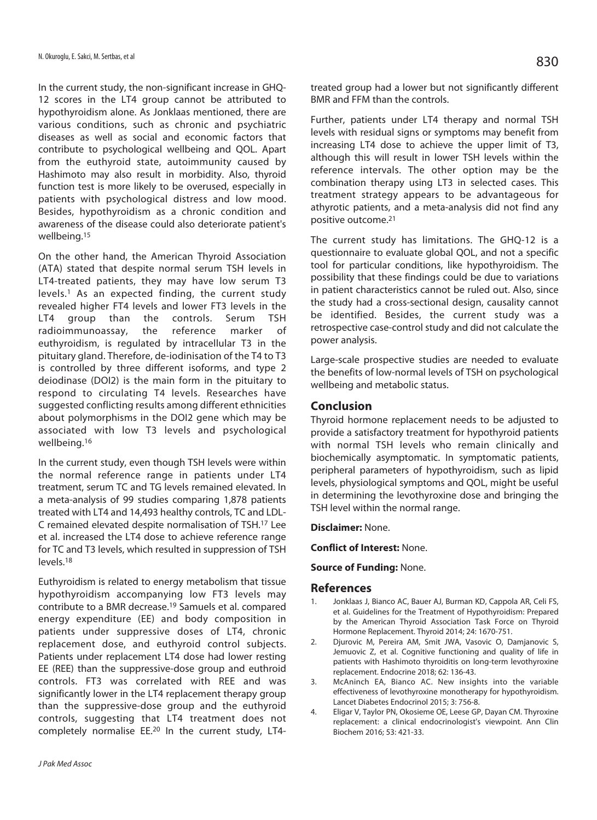In the current study, the non-significant increase in GHQ-12 scores in the LT4 group cannot be attributed to hypothyroidism alone. As Jonklaas mentioned, there are various conditions, such as chronic and psychiatric diseases as well as social and economic factors that contribute to psychological wellbeing and QOL. Apart from the euthyroid state, autoimmunity caused by Hashimoto may also result in morbidity. Also, thyroid function test is more likely to be overused, especially in patients with psychological distress and low mood. Besides, hypothyroidism as a chronic condition and awareness of the disease could also deteriorate patient's wellbeing.15

On the other hand, the American Thyroid Association (ATA) stated that despite normal serum TSH levels in LT4-treated patients, they may have low serum T3 levels.1 As an expected finding, the current study revealed higher FT4 levels and lower FT3 levels in the LT4 group than the controls. Serum TSH radioimmunoassay, the reference marker of euthyroidism, is regulated by intracellular T3 in the pituitary gland. Therefore, de-iodinisation of the T4 to T3 is controlled by three different isoforms, and type 2 deiodinase (DOI2) is the main form in the pituitary to respond to circulating T4 levels. Researches have suggested conflicting results among different ethnicities about polymorphisms in the DOI2 gene which may be associated with low T3 levels and psychological wellbeing.16

In the current study, even though TSH levels were within the normal reference range in patients under LT4 treatment, serum TC and TG levels remained elevated. In a meta-analysis of 99 studies comparing 1,878 patients treated with LT4 and 14,493 healthy controls, TC and LDL-C remained elevated despite normalisation of TSH.17 Lee et al. increased the LT4 dose to achieve reference range for TC and T3 levels, which resulted in suppression of TSH levels.18

Euthyroidism is related to energy metabolism that tissue hypothyroidism accompanying low FT3 levels may contribute to a BMR decrease.19 Samuels et al. compared energy expenditure (EE) and body composition in patients under suppressive doses of LT4, chronic replacement dose, and euthyroid control subjects. Patients under replacement LT4 dose had lower resting EE (REE) than the suppressive-dose group and euthroid controls. FT3 was correlated with REE and was significantly lower in the LT4 replacement therapy group than the suppressive-dose group and the euthyroid controls, suggesting that LT4 treatment does not completely normalise EE.20 In the current study, LT4treated group had a lower but not significantly different BMR and FFM than the controls.

Further, patients under LT4 therapy and normal TSH levels with residual signs or symptoms may benefit from increasing LT4 dose to achieve the upper limit of T3, although this will result in lower TSH levels within the reference intervals. The other option may be the combination therapy using LT3 in selected cases. This treatment strategy appears to be advantageous for athyrotic patients, and a meta-analysis did not find any positive outcome.21

The current study has limitations. The GHQ-12 is a questionnaire to evaluate global QOL, and not a specific tool for particular conditions, like hypothyroidism. The possibility that these findings could be due to variations in patient characteristics cannot be ruled out. Also, since the study had a cross-sectional design, causality cannot be identified. Besides, the current study was a retrospective case-control study and did not calculate the power analysis.

Large-scale prospective studies are needed to evaluate the benefits of low-normal levels of TSH on psychological wellbeing and metabolic status.

#### **Conclusion**

Thyroid hormone replacement needs to be adjusted to provide a satisfactory treatment for hypothyroid patients with normal TSH levels who remain clinically and biochemically asymptomatic. In symptomatic patients, peripheral parameters of hypothyroidism, such as lipid levels, physiological symptoms and QOL, might be useful in determining the levothyroxine dose and bringing the TSH level within the normal range.

#### **Disclaimer:** None.

**Conflict of Interest:** None.

#### **Source of Funding:** None.

#### **References**

- Jonklaas J, Bianco AC, Bauer AJ, Burman KD, Cappola AR, Celi FS, et al. Guidelines for the Treatment of Hypothyroidism: Prepared by the American Thyroid Association Task Force on Thyroid Hormone Replacement. Thyroid 2014; 24: 1670-751.
- 2. Djurovic M, Pereira AM, Smit JWA, Vasovic O, Damjanovic S, Jemuovic Z, et al. Cognitive functioning and quality of life in patients with Hashimoto thyroiditis on long-term levothyroxine replacement. Endocrine 2018; 62: 136-43.
- 3. McAninch EA, Bianco AC. New insights into the variable effectiveness of levothyroxine monotherapy for hypothyroidism. Lancet Diabetes Endocrinol 2015; 3: 756-8.
- 4. Eligar V, Taylor PN, Okosieme OE, Leese GP, Dayan CM. Thyroxine replacement: a clinical endocrinologist's viewpoint. Ann Clin Biochem 2016; 53: 421-33.